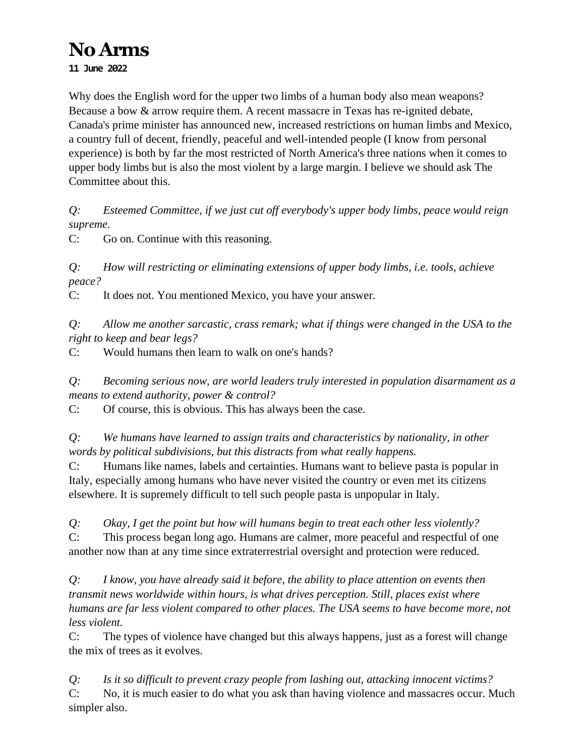# **No Arms 11 June 2022**

Why does the English word for the upper two limbs of a human body also mean weapons? Because a bow & arrow require them. A recent massacre in Texas has re-ignited debate, Canada's prime minister has announced new, increased restrictions on human limbs and Mexico, a country full of decent, friendly, peaceful and well-intended people (I know from personal experience) is both by far the most restricted of North America's three nations when it comes to upper body limbs but is also the most violent by a large margin. I believe we should ask The Committee about this.

*Q: Esteemed Committee, if we just cut off everybody's upper body limbs, peace would reign supreme.*

C: Go on. Continue with this reasoning.

*Q: How will restricting or eliminating extensions of upper body limbs, i.e. tools, achieve peace?*

C: It does not. You mentioned Mexico, you have your answer.

*Q: Allow me another sarcastic, crass remark; what if things were changed in the USA to the right to keep and bear legs?*

C: Would humans then learn to walk on one's hands?

*Q: Becoming serious now, are world leaders truly interested in population disarmament as a means to extend authority, power & control?*

C: Of course, this is obvious. This has always been the case.

*Q: We humans have learned to assign traits and characteristics by nationality, in other words by political subdivisions, but this distracts from what really happens.*

C: Humans like names, labels and certainties. Humans want to believe pasta is popular in Italy, especially among humans who have never visited the country or even met its citizens elsewhere. It is supremely difficult to tell such people pasta is unpopular in Italy.

*Q: Okay, I get the point but how will humans begin to treat each other less violently?* C: This process began long ago. Humans are calmer, more peaceful and respectful of one another now than at any time since extraterrestrial oversight and protection were reduced.

*Q: I know, you have already said it before, the ability to place attention on events then transmit news worldwide within hours, is what drives perception. Still, places exist where humans are far less violent compared to other places. The USA seems to have become more, not less violent.* 

C: The types of violence have changed but this always happens, just as a forest will change the mix of trees as it evolves.

*Q: Is it so difficult to prevent crazy people from lashing out, attacking innocent victims?* C: No, it is much easier to do what you ask than having violence and massacres occur. Much simpler also.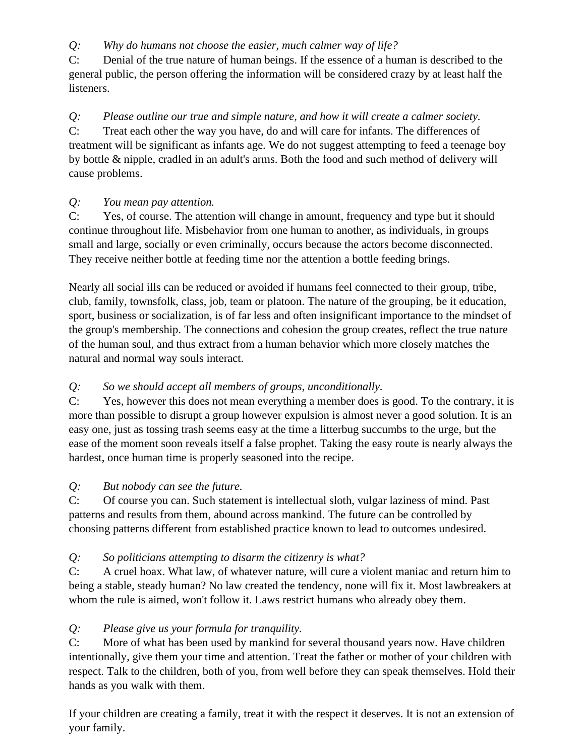*Q: Why do humans not choose the easier, much calmer way of life?*

C: Denial of the true nature of human beings. If the essence of a human is described to the general public, the person offering the information will be considered crazy by at least half the listeners.

*Q: Please outline our true and simple nature, and how it will create a calmer society.* C: Treat each other the way you have, do and will care for infants. The differences of treatment will be significant as infants age. We do not suggest attempting to feed a teenage boy by bottle & nipple, cradled in an adult's arms. Both the food and such method of delivery will cause problems.

### *Q: You mean pay attention.*

C: Yes, of course. The attention will change in amount, frequency and type but it should continue throughout life. Misbehavior from one human to another, as individuals, in groups small and large, socially or even criminally, occurs because the actors become disconnected. They receive neither bottle at feeding time nor the attention a bottle feeding brings.

Nearly all social ills can be reduced or avoided if humans feel connected to their group, tribe, club, family, townsfolk, class, job, team or platoon. The nature of the grouping, be it education, sport, business or socialization, is of far less and often insignificant importance to the mindset of the group's membership. The connections and cohesion the group creates, reflect the true nature of the human soul, and thus extract from a human behavior which more closely matches the natural and normal way souls interact.

## *Q: So we should accept all members of groups, unconditionally.*

C: Yes, however this does not mean everything a member does is good. To the contrary, it is more than possible to disrupt a group however expulsion is almost never a good solution. It is an easy one, just as tossing trash seems easy at the time a litterbug succumbs to the urge, but the ease of the moment soon reveals itself a false prophet. Taking the easy route is nearly always the hardest, once human time is properly seasoned into the recipe.

## *Q: But nobody can see the future.*

C: Of course you can. Such statement is intellectual sloth, vulgar laziness of mind. Past patterns and results from them, abound across mankind. The future can be controlled by choosing patterns different from established practice known to lead to outcomes undesired.

## *Q: So politicians attempting to disarm the citizenry is what?*

C: A cruel hoax. What law, of whatever nature, will cure a violent maniac and return him to being a stable, steady human? No law created the tendency, none will fix it. Most lawbreakers at whom the rule is aimed, won't follow it. Laws restrict humans who already obey them.

## *Q: Please give us your formula for tranquility.*

C: More of what has been used by mankind for several thousand years now. Have children intentionally, give them your time and attention. Treat the father or mother of your children with respect. Talk to the children, both of you, from well before they can speak themselves. Hold their hands as you walk with them.

If your children are creating a family, treat it with the respect it deserves. It is not an extension of your family.